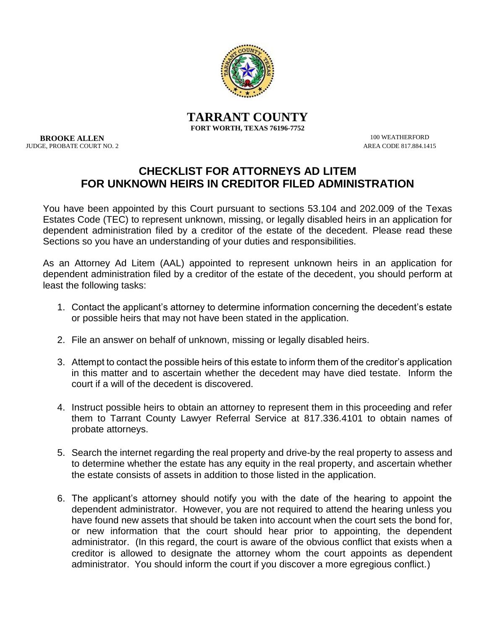

**TARRANT COUNTY FORT WORTH, TEXAS 76196-7752**

**BROOKE ALLEN** 100 WEATHERFORD 100 WEATHERFORD 100 WEATHERFORD 100 WEATHERFORD 100 WEATHERFORD 100 WEATHERFORD 100 WEATHERFORD 100 WEATHERFORD 100 WEATHERFORD 100 WEATHERFORD 100 WEATHERFORD 100 WEATHERFORD 100 WEATHERFORD JUDGE, PROBATE COURT NO. 2

## **CHECKLIST FOR ATTORNEYS AD LITEM FOR UNKNOWN HEIRS IN CREDITOR FILED ADMINISTRATION**

You have been appointed by this Court pursuant to sections 53.104 and 202.009 of the Texas Estates Code (TEC) to represent unknown, missing, or legally disabled heirs in an application for dependent administration filed by a creditor of the estate of the decedent. Please read these Sections so you have an understanding of your duties and responsibilities.

As an Attorney Ad Litem (AAL) appointed to represent unknown heirs in an application for dependent administration filed by a creditor of the estate of the decedent, you should perform at least the following tasks:

- 1. Contact the applicant's attorney to determine information concerning the decedent's estate or possible heirs that may not have been stated in the application.
- 2. File an answer on behalf of unknown, missing or legally disabled heirs.
- 3. Attempt to contact the possible heirs of this estate to inform them of the creditor's application in this matter and to ascertain whether the decedent may have died testate. Inform the court if a will of the decedent is discovered.
- 4. Instruct possible heirs to obtain an attorney to represent them in this proceeding and refer them to Tarrant County Lawyer Referral Service at 817.336.4101 to obtain names of probate attorneys.
- 5. Search the internet regarding the real property and drive-by the real property to assess and to determine whether the estate has any equity in the real property, and ascertain whether the estate consists of assets in addition to those listed in the application.
- 6. The applicant's attorney should notify you with the date of the hearing to appoint the dependent administrator. However, you are not required to attend the hearing unless you have found new assets that should be taken into account when the court sets the bond for, or new information that the court should hear prior to appointing, the dependent administrator. (In this regard, the court is aware of the obvious conflict that exists when a creditor is allowed to designate the attorney whom the court appoints as dependent administrator. You should inform the court if you discover a more egregious conflict.)